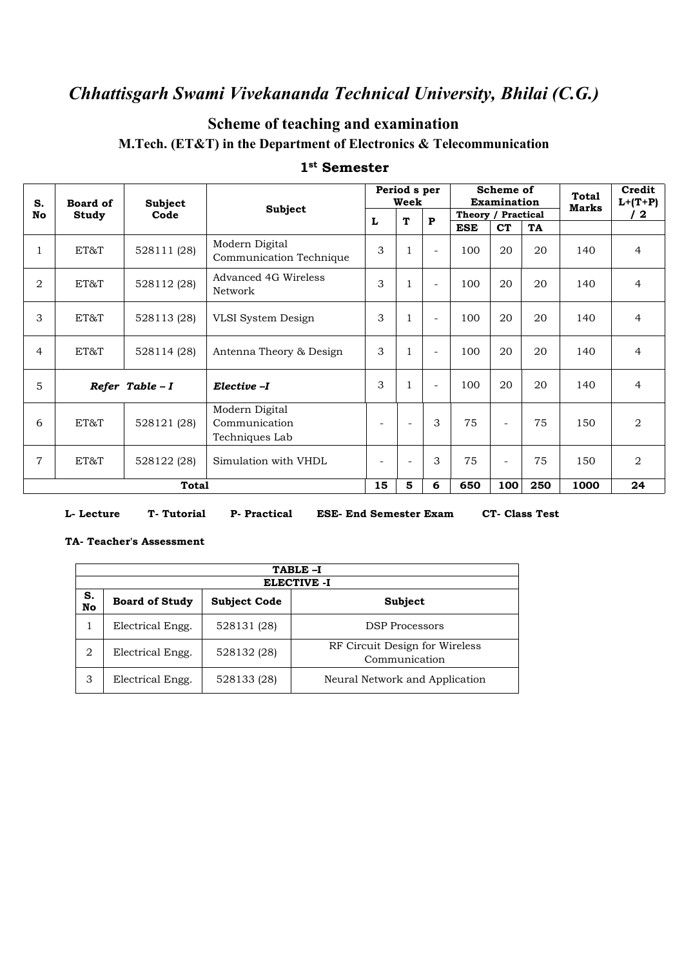### **Scheme of teaching and examination M.Tech. (ET&T) in the Department of Electronics & Telecommunication**

| S.             | Subject<br><b>Board of</b> |             | Subject                                           |                          | Period s per<br>Week     |                          | Scheme of<br><b>Examination</b> |                          |     | <b>Total</b><br>Marks | Credit<br>$L+ (T+P)$ |
|----------------|----------------------------|-------------|---------------------------------------------------|--------------------------|--------------------------|--------------------------|---------------------------------|--------------------------|-----|-----------------------|----------------------|
| No             | Study                      | Code        |                                                   | T<br>L                   |                          | $\mathbf{P}$             | Theory / Practical              |                          |     |                       | $^{\prime}$ 2        |
|                |                            |             |                                                   |                          |                          |                          | <b>ESE</b>                      | <b>CT</b>                | TA  |                       |                      |
| $\mathbf{1}$   | ET&T                       | 528111 (28) | Modern Digital<br>Communication Technique         | 3                        | $\mathbf{1}$             | ÷.                       | 100                             | 20                       | 20  | 140                   | $\overline{4}$       |
| $\overline{2}$ | ET&T                       | 528112 (28) | Advanced 4G Wireless<br>Network                   | 3                        | $1\,$                    | ÷.                       | 100                             | 20                       | 20  | 140                   | $\overline{4}$       |
| 3              | ET&T                       | 528113 (28) | VLSI System Design                                | 3                        | $\mathbf{1}$             | ÷.                       | 100                             | 20                       | 20  | 140                   | $\overline{4}$       |
| $\overline{4}$ | ET&T                       | 528114 (28) | Antenna Theory & Design                           | 3                        | $\mathbf{1}$             | $\overline{\phantom{a}}$ | 100                             | 20                       | 20  | 140                   | $\overline{4}$       |
| 5              | Refer Table $-I$           |             | Elective -I                                       | 3                        | $\mathbf{1}$             | ÷.                       | 100                             | 20                       | 20  | 140                   | $\overline{4}$       |
| 6              | ET&T                       | 528121 (28) | Modern Digital<br>Communication<br>Techniques Lab | $\overline{\phantom{a}}$ | $\overline{\phantom{a}}$ | 3                        | 75                              | $\overline{\phantom{0}}$ | 75  | 150                   | $\overline{2}$       |
| $\overline{7}$ | ET&T                       | 528122 (28) | Simulation with VHDL                              | $\overline{\phantom{a}}$ | $\overline{\phantom{a}}$ | 3                        | 75                              | $\overline{\phantom{a}}$ | 75  | 150                   | $\overline{2}$       |
|                |                            | Total       |                                                   | 15                       | 5                        | 6                        | 650                             | 100                      | 250 | 1000                  | 24                   |

#### **1 st Semester**

**L- Lecture T- Tutorial P- Practical ESE- End Semester Exam CT- Class Test**

#### **TA- Teacher's Assessment**

|          | TABLE-I                                                                       |             |                                                 |  |  |  |  |  |  |
|----------|-------------------------------------------------------------------------------|-------------|-------------------------------------------------|--|--|--|--|--|--|
| S.<br>No | <b>ELECTIVE -I</b><br><b>Board of Study</b><br><b>Subject Code</b><br>Subject |             |                                                 |  |  |  |  |  |  |
|          | Electrical Engg.                                                              | 528131 (28) | <b>DSP</b> Processors                           |  |  |  |  |  |  |
| 2        | Electrical Engg.                                                              | 528132 (28) | RF Circuit Design for Wireless<br>Communication |  |  |  |  |  |  |
| 3        | Electrical Engg.                                                              | 528133 (28) | Neural Network and Application                  |  |  |  |  |  |  |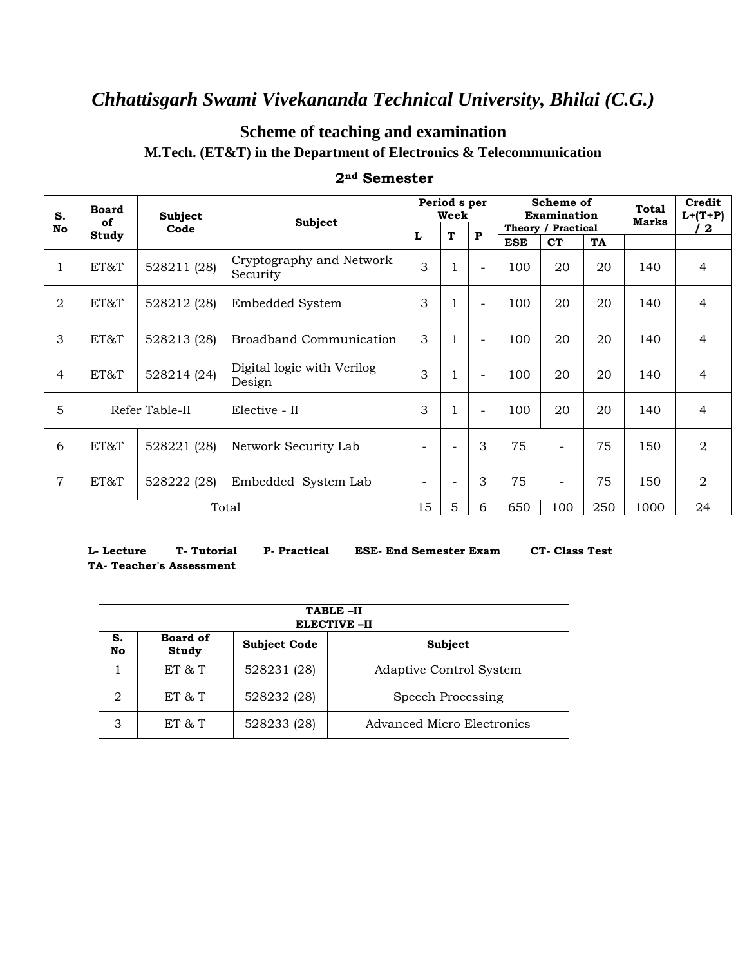### **Scheme of teaching and examination**

**M.Tech. (ET&T) in the Department of Electronics & Telecommunication**

| S.             | <b>Board</b><br>Subject<br><b>Subject</b><br>of |             |                                      |                          | Period s per<br>Week     |                          |                          | Scheme of<br><b>Examination</b> | <b>Total</b><br><b>Marks</b> | Credit<br>$L+ (T+P)$ |                |
|----------------|-------------------------------------------------|-------------|--------------------------------------|--------------------------|--------------------------|--------------------------|--------------------------|---------------------------------|------------------------------|----------------------|----------------|
| No             |                                                 | Code        |                                      |                          | T                        | $\mathbf{P}$             | Theory / Practical       |                                 |                              |                      | / 2            |
| Study          |                                                 |             |                                      |                          |                          |                          | <b>ESE</b>               | <b>CT</b>                       | TA                           |                      |                |
| 1              | ET&T                                            | 528211 (28) | Cryptography and Network<br>Security |                          |                          | $\overline{\phantom{a}}$ | 100                      | 20                              | 20                           | 140                  | $\overline{4}$ |
| $\overline{2}$ | ET&T<br>528212 (28)<br>Embedded System          |             |                                      | 3                        | $\mathbf{1}$             | $\overline{\phantom{a}}$ | 100                      | 20                              | 20                           | 140                  | $\overline{4}$ |
| 3              | ET&T                                            | 528213 (28) | <b>Broadband Communication</b>       | 3                        | $\mathbf{1}$             | $\overline{\phantom{a}}$ | 100                      | 20                              | 20                           | 140                  | $\overline{4}$ |
| 4              | ET&T                                            | 528214 (24) | Digital logic with Verilog<br>Design | 3                        | $\mathbf{1}$             | $\overline{\phantom{a}}$ | 100                      | 20                              | 20                           | 140                  | $\overline{4}$ |
| 5              | Refer Table-II                                  |             | Elective - II                        | 3                        | $\mathbf{1}$             | $\overline{\phantom{a}}$ | 100                      | 20                              | 20                           | 140                  | $\overline{4}$ |
| 6              | ET&T                                            | 528221 (28) | Network Security Lab                 |                          | $\overline{\phantom{0}}$ | 3                        | 75                       | $\overline{\phantom{0}}$        | 75                           | 150                  | $\overline{2}$ |
| $\overline{7}$ | ET&T<br>528222 (28)<br>Embedded System Lab      |             | $\overline{\phantom{0}}$             | $\overline{\phantom{a}}$ | 3                        | 75                       | $\overline{\phantom{a}}$ | 75                              | 150                          | $\overline{2}$       |                |
|                |                                                 |             | Total                                | 15                       | 5                        | 6                        | 650                      | 100                             | 250                          | 1000                 | 24             |

#### **2nd Semester**

**L- Lecture T- Tutorial P- Practical ESE- End Semester Exam CT- Class Test TA- Teacher's Assessment**

|          | TABLE-II                                                   |             |                                |  |  |  |  |  |  |  |
|----------|------------------------------------------------------------|-------------|--------------------------------|--|--|--|--|--|--|--|
|          | <b>ELECTIVE -II</b>                                        |             |                                |  |  |  |  |  |  |  |
| S.<br>No | <b>Board of</b><br><b>Subject Code</b><br>Subject<br>Study |             |                                |  |  |  |  |  |  |  |
|          | ET & T                                                     | 528231 (28) | <b>Adaptive Control System</b> |  |  |  |  |  |  |  |
| 2        | ET & T                                                     | 528232 (28) | Speech Processing              |  |  |  |  |  |  |  |
|          | $ET \& T$                                                  | 528233 (28) | Advanced Micro Electronics     |  |  |  |  |  |  |  |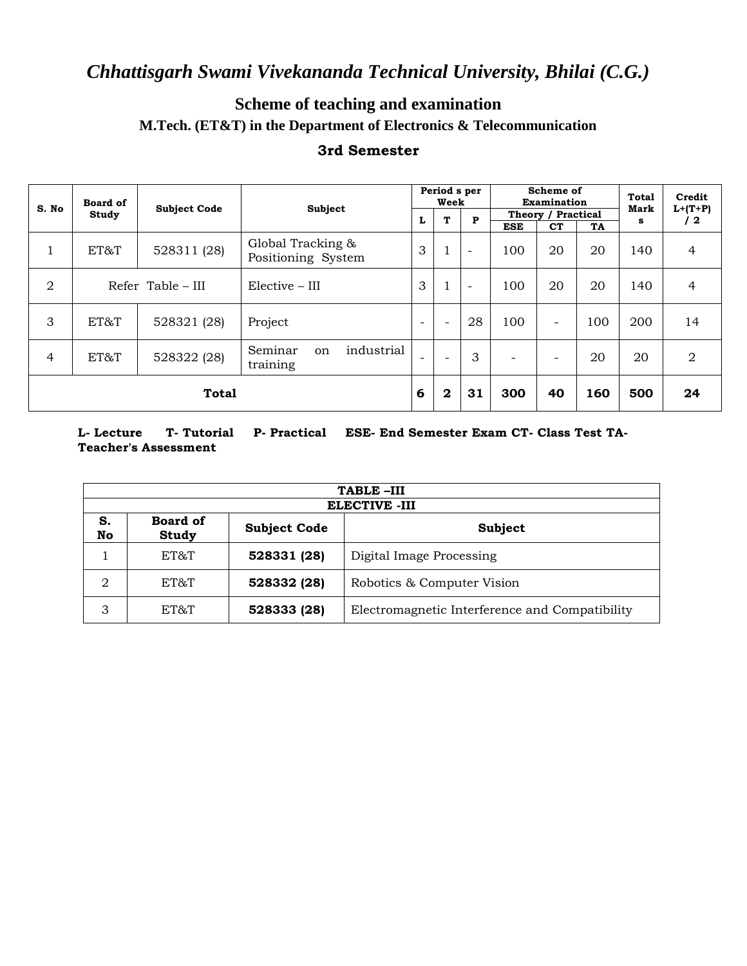### **Scheme of teaching and examination M.Tech. (ET&T) in the Department of Electronics & Telecommunication**

#### **3rd Semester**

| S. No                               | <b>Board of</b>              |             |                                                    |                          | Period s per<br>Week     |                          | Scheme of<br>Examination |                          |     | <b>Total</b><br>Mark | Credit                  |
|-------------------------------------|------------------------------|-------------|----------------------------------------------------|--------------------------|--------------------------|--------------------------|--------------------------|--------------------------|-----|----------------------|-------------------------|
|                                     | <b>Subject Code</b><br>Study |             | Subject                                            |                          | T<br>L                   | ${\bf P}$                | Theory / Practical       |                          |     | s                    | $L+(T+P)$<br>$\sqrt{2}$ |
|                                     |                              |             |                                                    |                          |                          |                          | <b>ESE</b>               | <b>CT</b>                | TA  |                      |                         |
| 1                                   | ET&T                         | 528311 (28) | Global Tracking &<br>Positioning System            |                          | 1                        | $\overline{\phantom{a}}$ | 100                      | 20                       | 20  | 140                  | 4                       |
| $\overline{2}$<br>Refer Table – III |                              |             | $Elective - III$                                   |                          | 1                        | $\overline{\phantom{a}}$ | 100                      | 20                       | 20  | 140                  | 4                       |
| 3                                   | ET&T                         | 528321 (28) | Project                                            |                          | $\overline{\phantom{0}}$ | 28                       | 100                      | $\overline{\phantom{a}}$ | 100 | 200                  | 14                      |
| 4                                   | ET&T                         | 528322 (28) | industrial<br>Seminar<br><sub>on</sub><br>training | $\overline{\phantom{a}}$ | $\overline{\phantom{a}}$ | 3                        | $\overline{\phantom{a}}$ |                          | 20  | 20                   | 2                       |
| <b>Total</b>                        |                              |             |                                                    |                          | $\mathbf 2$              | 31                       | 300                      | 40                       | 160 | 500                  | 24                      |

**L- Lecture T- Tutorial P- Practical ESE- End Semester Exam CT- Class Test TA-Teacher's Assessment**

|                | TABLE-III                                                         |             |                                                |  |  |  |  |  |  |  |  |
|----------------|-------------------------------------------------------------------|-------------|------------------------------------------------|--|--|--|--|--|--|--|--|
|                | <b>ELECTIVE -III</b>                                              |             |                                                |  |  |  |  |  |  |  |  |
| S.<br>No       | <b>Board of</b><br><b>Subject Code</b><br>Subject<br><b>Study</b> |             |                                                |  |  |  |  |  |  |  |  |
|                | ET&T                                                              | 528331 (28) | Digital Image Processing                       |  |  |  |  |  |  |  |  |
| $\overline{2}$ | ET&T                                                              | 528332 (28) | Robotics & Computer Vision                     |  |  |  |  |  |  |  |  |
| 3              | ET&T                                                              | 528333 (28) | Electromagnetic Interference and Compatibility |  |  |  |  |  |  |  |  |